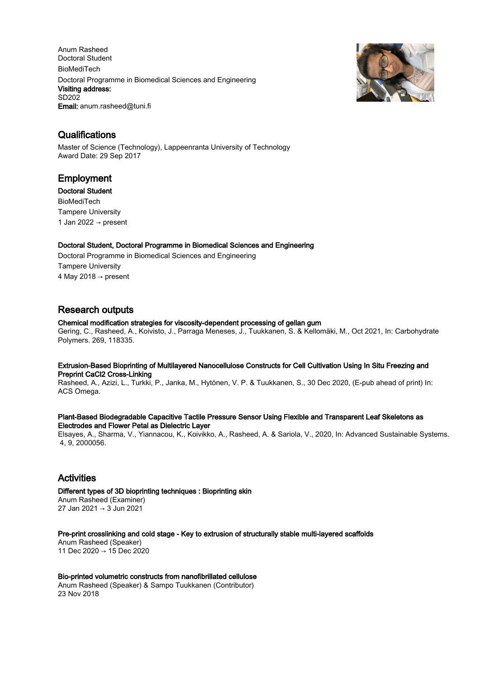Anum Rasheed Doctoral Student BioMediTech Doctoral Programme in Biomedical Sciences and Engineering Visiting address: SD202 Email: anum.rasheed@tuni.fi



### **Qualifications**

Master of Science (Technology), Lappeenranta University of Technology Award Date: 29 Sep 2017

### Employment

Doctoral Student BioMediTech Tampere University 1 Jan 2022  $\rightarrow$  present

#### Doctoral Student, Doctoral Programme in Biomedical Sciences and Engineering

Doctoral Programme in Biomedical Sciences and Engineering Tampere University 4 May 2018  $\rightarrow$  present

# Research outputs

#### Chemical modification strategies for viscosity-dependent processing of gellan gum

Gering, C., Rasheed, A., Koivisto, J., Parraga Meneses, J., Tuukkanen, S. & Kellomäki, M., Oct 2021, In: Carbohydrate Polymers. 269, 118335.

#### Extrusion-Based Bioprinting of Multilayered Nanocellulose Constructs for Cell Cultivation Using In Situ Freezing and Preprint CaCl2 Cross-Linking

Rasheed, A., Azizi, L., Turkki, P., Janka, M., Hytönen, V. P. & Tuukkanen, S., 30 Dec 2020, (E-pub ahead of print) In: ACS Omega.

#### Plant-Based Biodegradable Capacitive Tactile Pressure Sensor Using Flexible and Transparent Leaf Skeletons as Electrodes and Flower Petal as Dielectric Layer

Elsayes, A., Sharma, V., Yiannacou, K., Koivikko, A., Rasheed, A. & Sariola, V., 2020, In: Advanced Sustainable Systems. 4, 9, 2000056.

# Activities

Different types of 3D bioprinting techniques : Bioprinting skin Anum Rasheed (Examiner) 27 Jan 2021 → 3 Jun 2021

Pre-print crosslinking and cold stage - Key to extrusion of structurally stable multi-layered scaffolds

Anum Rasheed (Speaker) 11 Dec 2020 → 15 Dec 2020

### Bio-printed volumetric constructs from nanofibrillated cellulose

Anum Rasheed (Speaker) & Sampo Tuukkanen (Contributor) 23 Nov 2018